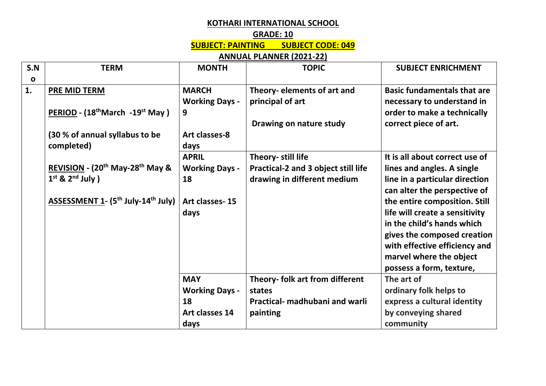## **KOTHARI INTERNATIONAL SCHOOL**

## **GRADE: 10**

**SUBJECT: PAINTING SUBJECT CODE: 049**

**ANNUAL PLANNER (2021-22)**

| S.N          | <b>TERM</b>                                                | <b>MONTH</b>          | <b>TOPIC</b>                        | <b>SUBJECT ENRICHMENT</b>          |
|--------------|------------------------------------------------------------|-----------------------|-------------------------------------|------------------------------------|
| $\mathbf{o}$ |                                                            |                       |                                     |                                    |
| 1.           | PRE MID TERM                                               | <b>MARCH</b>          | Theory- elements of art and         | <b>Basic fundamentals that are</b> |
|              |                                                            | <b>Working Days -</b> | principal of art                    | necessary to understand in         |
|              | PERIOD - (18 <sup>th</sup> March -19 <sup>st</sup> May)    | 9                     |                                     | order to make a technically        |
|              |                                                            |                       | Drawing on nature study             | correct piece of art.              |
|              | (30 % of annual syllabus to be                             | Art classes-8         |                                     |                                    |
|              | completed)                                                 | days                  |                                     |                                    |
|              |                                                            | <b>APRIL</b>          | Theory- still life                  | It is all about correct use of     |
|              | REVISION - (20 <sup>th</sup> May-28 <sup>th</sup> May &    | <b>Working Days -</b> | Practical-2 and 3 object still life | lines and angles. A single         |
|              | $1st$ & $2nd$ July )                                       | 18                    | drawing in different medium         | line in a particular direction     |
|              |                                                            |                       |                                     | can alter the perspective of       |
|              | ASSESSMENT 1- (5 <sup>th</sup> July-14 <sup>th</sup> July) | Art classes-15        |                                     | the entire composition. Still      |
|              |                                                            | days                  |                                     | life will create a sensitivity     |
|              |                                                            |                       |                                     | in the child's hands which         |
|              |                                                            |                       |                                     | gives the composed creation        |
|              |                                                            |                       |                                     | with effective efficiency and      |
|              |                                                            |                       |                                     | marvel where the object            |
|              |                                                            |                       |                                     | possess a form, texture,           |
|              |                                                            | <b>MAY</b>            | Theory- folk art from different     | The art of                         |
|              |                                                            | <b>Working Days -</b> | states                              | ordinary folk helps to             |
|              |                                                            | 18                    | Practical- madhubani and warli      | express a cultural identity        |
|              |                                                            | Art classes 14        | painting                            | by conveying shared                |
|              |                                                            | days                  |                                     | community                          |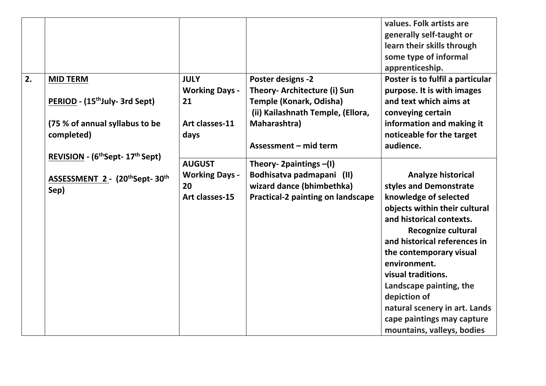|    |                                                          |                             |                                                          | values. Folk artists are<br>generally self-taught or<br>learn their skills through<br>some type of informal |
|----|----------------------------------------------------------|-----------------------------|----------------------------------------------------------|-------------------------------------------------------------------------------------------------------------|
| 2. |                                                          |                             |                                                          | apprenticeship.                                                                                             |
|    | <b>MID TERM</b>                                          | <b>JULY</b>                 | <b>Poster designs -2</b><br>Theory- Architecture (i) Sun | Poster is to fulfil a particular                                                                            |
|    | PERIOD - (15 <sup>th</sup> July- 3rd Sept)               | <b>Working Days -</b><br>21 | Temple (Konark, Odisha)                                  | purpose. It is with images<br>and text which aims at                                                        |
|    |                                                          |                             | (ii) Kailashnath Temple, (Ellora,                        | conveying certain                                                                                           |
|    | (75 % of annual syllabus to be                           | Art classes-11              | Maharashtra)                                             | information and making it                                                                                   |
|    | completed)                                               | days                        |                                                          | noticeable for the target                                                                                   |
|    |                                                          |                             | Assessment - mid term                                    | audience.                                                                                                   |
|    | REVISION - (6 <sup>th</sup> Sept- 17 <sup>th</sup> Sept) |                             |                                                          |                                                                                                             |
|    |                                                          | <b>AUGUST</b>               | Theory- 2 paintings $-(1)$                               |                                                                                                             |
|    | ASSESSMENT 2 - (20thSept-30th                            | <b>Working Days -</b>       | Bodhisatva padmapani (II)                                | <b>Analyze historical</b>                                                                                   |
|    | Sep)                                                     | 20                          | wizard dance (bhimbethka)                                | styles and Demonstrate                                                                                      |
|    |                                                          | Art classes-15              | Practical-2 painting on landscape                        | knowledge of selected                                                                                       |
|    |                                                          |                             |                                                          | objects within their cultural                                                                               |
|    |                                                          |                             |                                                          | and historical contexts.                                                                                    |
|    |                                                          |                             |                                                          | Recognize cultural                                                                                          |
|    |                                                          |                             |                                                          | and historical references in                                                                                |
|    |                                                          |                             |                                                          | the contemporary visual                                                                                     |
|    |                                                          |                             |                                                          | environment.                                                                                                |
|    |                                                          |                             |                                                          | visual traditions.                                                                                          |
|    |                                                          |                             |                                                          | Landscape painting, the<br>depiction of                                                                     |
|    |                                                          |                             |                                                          |                                                                                                             |
|    |                                                          |                             |                                                          | natural scenery in art. Lands<br>cape paintings may capture                                                 |
|    |                                                          |                             |                                                          | mountains, valleys, bodies                                                                                  |
|    |                                                          |                             |                                                          |                                                                                                             |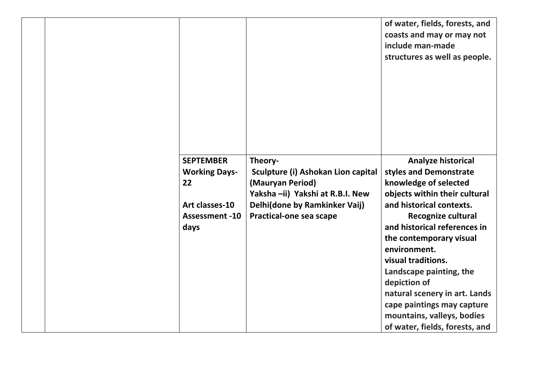|  |                       |                                    | of water, fields, forests, and<br>coasts and may or may not<br>include man-made<br>structures as well as people. |
|--|-----------------------|------------------------------------|------------------------------------------------------------------------------------------------------------------|
|  | <b>SEPTEMBER</b>      | Theory-                            | Analyze historical                                                                                               |
|  | <b>Working Days-</b>  | Sculpture (i) Ashokan Lion capital | styles and Demonstrate                                                                                           |
|  | 22                    | (Mauryan Period)                   | knowledge of selected                                                                                            |
|  |                       | Yaksha -ii) Yakshi at R.B.I. New   | objects within their cultural                                                                                    |
|  | Art classes-10        | Delhi(done by Ramkinker Vaij)      | and historical contexts.                                                                                         |
|  | <b>Assessment -10</b> | Practical-one sea scape            | Recognize cultural                                                                                               |
|  | days                  |                                    | and historical references in                                                                                     |
|  |                       |                                    | the contemporary visual                                                                                          |
|  |                       |                                    | environment.                                                                                                     |
|  |                       |                                    | visual traditions.                                                                                               |
|  |                       |                                    | Landscape painting, the                                                                                          |
|  |                       |                                    | depiction of                                                                                                     |
|  |                       |                                    | natural scenery in art. Lands                                                                                    |
|  |                       |                                    | cape paintings may capture                                                                                       |
|  |                       |                                    | mountains, valleys, bodies                                                                                       |
|  |                       |                                    | of water, fields, forests, and                                                                                   |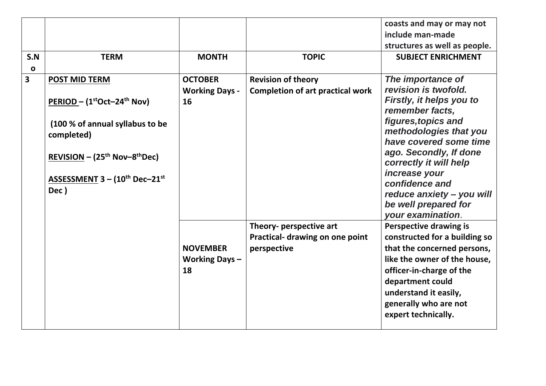|                         |                                             |                       |                                         | coasts and may or may not                        |
|-------------------------|---------------------------------------------|-----------------------|-----------------------------------------|--------------------------------------------------|
|                         |                                             |                       |                                         | include man-made                                 |
|                         |                                             |                       |                                         | structures as well as people.                    |
| S.N                     | <b>TERM</b>                                 | <b>MONTH</b>          | <b>TOPIC</b>                            | <b>SUBJECT ENRICHMENT</b>                        |
| $\mathbf{o}$            |                                             |                       |                                         |                                                  |
| $\overline{\mathbf{3}}$ | <b>POST MID TERM</b>                        | <b>OCTOBER</b>        | <b>Revision of theory</b>               | The importance of                                |
|                         |                                             | <b>Working Days -</b> | <b>Completion of art practical work</b> | revision is twofold.                             |
|                         | $PERIOD - (1stOct-24th Nov)$                | 16                    |                                         | Firstly, it helps you to                         |
|                         |                                             |                       |                                         | remember facts,                                  |
|                         | (100 % of annual syllabus to be             |                       |                                         | figures, topics and                              |
|                         | completed)                                  |                       |                                         | methodologies that you<br>have covered some time |
|                         |                                             |                       |                                         | ago. Secondly, If done                           |
|                         | REVISION – $(25th$ Nov-8 <sup>th</sup> Dec) |                       |                                         | correctly it will help                           |
|                         |                                             |                       |                                         | increase your                                    |
|                         | ASSESSMENT $3 - (10^{th}$ Dec $-21^{st}$    |                       |                                         | confidence and                                   |
|                         | Dec)                                        |                       |                                         | reduce anxiety - you will                        |
|                         |                                             |                       |                                         | be well prepared for                             |
|                         |                                             |                       |                                         | <b>vour examination.</b>                         |
|                         |                                             |                       | Theory- perspective art                 | <b>Perspective drawing is</b>                    |
|                         |                                             |                       | Practical- drawing on one point         | constructed for a building so                    |
|                         |                                             | <b>NOVEMBER</b>       | perspective                             | that the concerned persons,                      |
|                         |                                             | <b>Working Days-</b>  |                                         | like the owner of the house,                     |
|                         |                                             | 18                    |                                         | officer-in-charge of the                         |
|                         |                                             |                       |                                         | department could                                 |
|                         |                                             |                       |                                         | understand it easily,                            |
|                         |                                             |                       |                                         | generally who are not                            |
|                         |                                             |                       |                                         | expert technically.                              |
|                         |                                             |                       |                                         |                                                  |